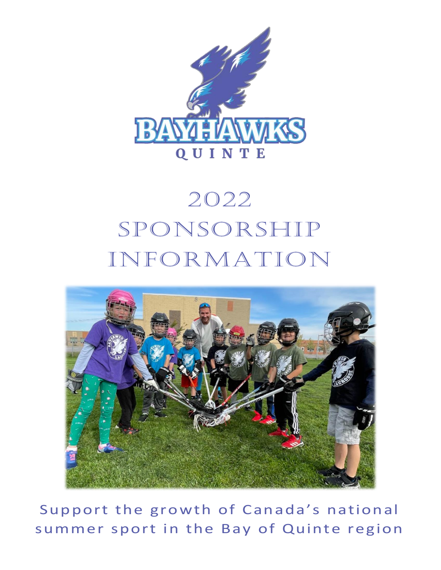

# 2022 Sponsorship Information



Support the growth of Canada's national summer sport in the Bay of Quinte region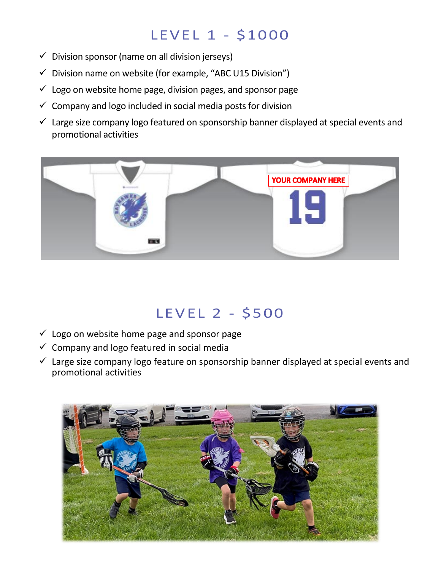### LEVEL 1 - \$1000

- $\checkmark$  Division sponsor (name on all division jerseys)
- $\checkmark$  Division name on website (for example, "ABC U15 Division")
- $\checkmark$  Logo on website home page, division pages, and sponsor page
- $\checkmark$  Company and logo included in social media posts for division
- $\checkmark$  Large size company logo featured on sponsorship banner displayed at special events and promotional activities



#### LEVEL 2 - \$500

- $\checkmark$  Logo on website home page and sponsor page
- $\checkmark$  Company and logo featured in social media
- $\checkmark$  Large size company logo feature on sponsorship banner displayed at special events and promotional activities

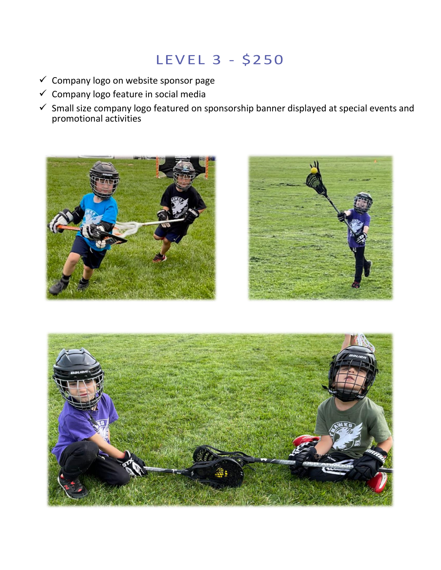## LEVEL 3 - \$250

- $\checkmark$  Company logo on website sponsor page
- $\checkmark$  Company logo feature in social media
- $\checkmark$  Small size company logo featured on sponsorship banner displayed at special events and promotional activities